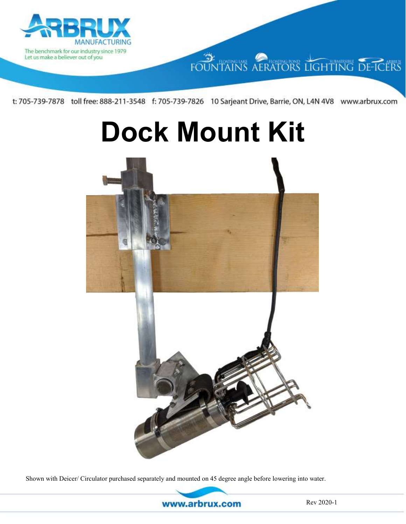

# FOUNTAINS AERATORS LIGHTING DE-ICERS

t: 705-739-7878 toll free: 888-211-3548 f: 705-739-7826 10 Sarjeant Drive, Barrie, ON, L4N 4V8 www.arbrux.com

# **Dock Mount Kit**



Shown with Deicer/ Circulator purchased separately and mounted on 45 degree angle before lowering into water.

www.arbrux.com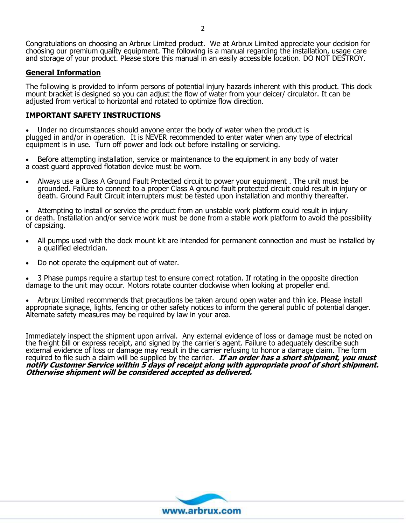Congratulations on choosing an Arbrux Limited product. We at Arbrux Limited appreciate your decision for choosing our premium quality equipment. The following is a manual regarding the installation, usage care and storage of your product. Please store this manual in an easily accessible location. DO NOT DESTROY.

#### **General Information**

The following is provided to inform persons of potential injury hazards inherent with this product. This dock mount bracket is designed so you can adjust the flow of water from your deicer/ circulator. It can be adjusted from vertical to horizontal and rotated to optimize flow direction.

#### **IMPORTANT SAFETY INSTRUCTIONS**

• Under no circumstances should anyone enter the body of water when the product is plugged in and/or in operation. It is NEVER recommended to enter water when any type of electrical equipment is in use. Turn off power and lock out before installing or servicing.

• Before attempting installation, service or maintenance to the equipment in any body of water a coast guard approved flotation device must be worn.

• Always use a Class A Ground Fault Protected circuit to power your equipment . The unit must be grounded. Failure to connect to a proper Class A ground fault protected circuit could result in injury or death. Ground Fault Circuit interrupters must be tested upon installation and monthly thereafter.

• Attempting to install or service the product from an unstable work platform could result in injury or death. Installation and/or service work must be done from a stable work platform to avoid the possibility of capsizing.

- All pumps used with the dock mount kit are intended for permanent connection and must be installed by a qualified electrician.
- Do not operate the equipment out of water.

• 3 Phase pumps require a startup test to ensure correct rotation. If rotating in the opposite direction damage to the unit may occur. Motors rotate counter clockwise when looking at propeller end.

• Arbrux Limited recommends that precautions be taken around open water and thin ice. Please install appropriate signage, lights, fencing or other safety notices to inform the general public of potential danger. Alternate safety measures may be required by law in your area.

Immediately inspect the shipment upon arrival. Any external evidence of loss or damage must be noted on the freight bill or express receipt, and signed by the carrier's agent. Failure to adequately describe such external evidence of loss or damage may result in the carrier refusing to honor a damage claim. The form required to file such a claim will be supplied by the carrier. **If an order has a short shipment, you must notify Customer Service within 5 days of receipt along with appropriate proof of short shipment. Otherwise shipment will be considered accepted as delivered.** 

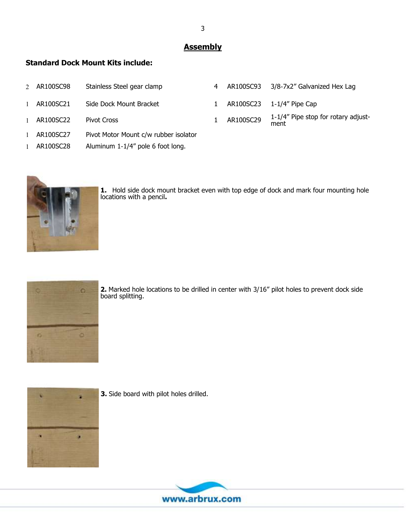### **Assembly**

#### **Standard Dock Mount Kits include:**

| 2 AR100SC98 | Stainless Steel gear clamp            | 4 |           | AR100SC93 3/8-7x2" Galvanized Hex Lag       |
|-------------|---------------------------------------|---|-----------|---------------------------------------------|
| 1 AR100SC21 | Side Dock Mount Bracket               |   |           | AR100SC23 1-1/4" Pipe Cap                   |
| 1 AR100SC22 | <b>Pivot Cross</b>                    |   | AR100SC29 | 1-1/4" Pipe stop for rotary adjust-<br>ment |
| 1 AR100SC27 | Pivot Motor Mount c/w rubber isolator |   |           |                                             |
| AR100SC28   | Aluminum 1-1/4" pole 6 foot long.     |   |           |                                             |



**1.** Hold side dock mount bracket even with top edge of dock and mark four mounting hole locations with a pencil**.**



**2.** Marked hole locations to be drilled in center with 3/16" pilot holes to prevent dock side board splitting.



**3.** Side board with pilot holes drilled.

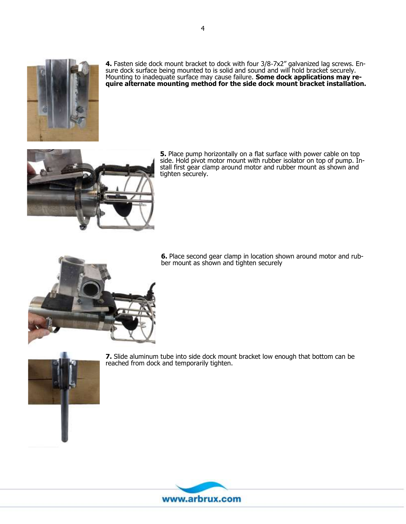

**4.** Fasten side dock mount bracket to dock with four 3/8-7x2" galvanized lag screws. Ensure dock surface being mounted to is solid and sound and will hold bracket securely. Mounting to inadequate surface may cause failure. **Some dock applications may require alternate mounting method for the side dock mount bracket installation.**



**5.** Place pump horizontally on a flat surface with power cable on top side. Hold pivot motor mount with rubber isolator on top of pump. Install first gear clamp around motor and rubber mount as shown and tighten securely.

**6.** Place second gear clamp in location shown around motor and rubber mount as shown and tighten securely



**7.** Slide aluminum tube into side dock mount bracket low enough that bottom can be reached from dock and temporarily tighten.

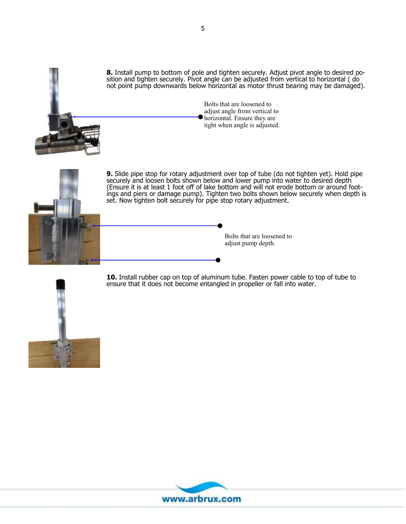

**8.** Install pump to bottom of pole and tighten securely. Adjust pivot angle to desired position and tighten securely. Pivot angle can be adjusted from vertical to horizontal ( do not point pump downwards below horizontal as motor thrust bearing may be damaged).

> Bolts that are loosened to adjust angle from vertical to horizontal. Ensure they are tight when angle is adjusted.



**9.** Slide pipe stop for rotary adjustment over top of tube (do not tighten yet). Hold pipe securely and loosen bolts shown below and lower pump into water to desired depth (Ensure it is at least 1 foot off of lake bottom and will not erode bottom or around footings and piers or damage pump). Tighten two bolts shown below securely when depth is set. Now tighten bolt securely for pipe stop rotary adjustment.

> Bolts that are loosened to adjust pump depth.



**10.** Install rubber cap on top of aluminum tube. Fasten power cable to top of tube to ensure that it does not become entangled in propeller or fall into water.

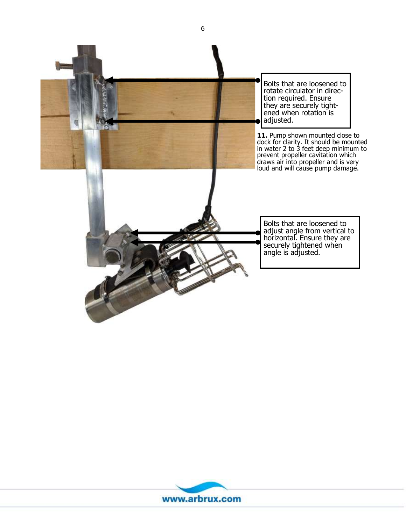



6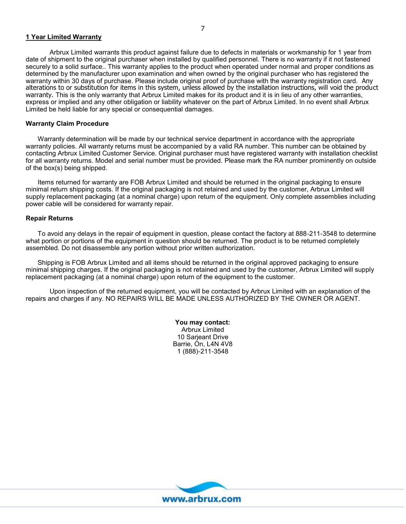#### **1 Year Limited Warranty**

Arbrux Limited warrants this product against failure due to defects in materials or workmanship for 1 year from date of shipment to the original purchaser when installed by qualified personnel. There is no warranty if it not fastened securely to a solid surface.. This warranty applies to the product when operated under normal and proper conditions as determined by the manufacturer upon examination and when owned by the original purchaser who has registered the warranty within 30 days of purchase. Please include original proof of purchase with the warranty registration card. Any alterations to or substitution for items in this system, unless allowed by the installation instructions, will void the product warranty. This is the only warranty that Arbrux Limited makes for its product and it is in lieu of any other warranties, express or implied and any other obligation or liability whatever on the part of Arbrux Limited. In no event shall Arbrux Limited be held liable for any special or consequential damages.

#### **Warranty Claim Procedure**

Warranty determination will be made by our technical service department in accordance with the appropriate warranty policies. All warranty returns must be accompanied by a valid RA number. This number can be obtained by contacting Arbrux Limited Customer Service. Original purchaser must have registered warranty with installation checklist for all warranty returns. Model and serial number must be provided. Please mark the RA number prominently on outside of the box(s) being shipped.

Items returned for warranty are FOB Arbrux Limited and should be returned in the original packaging to ensure minimal return shipping costs. If the original packaging is not retained and used by the customer, Arbrux Limited will supply replacement packaging (at a nominal charge) upon return of the equipment. Only complete assemblies including power cable will be considered for warranty repair.

#### **Repair Returns**

To avoid any delays in the repair of equipment in question, please contact the factory at 888-211-3548 to determine what portion or portions of the equipment in question should be returned. The product is to be returned completely assembled. Do not disassemble any portion without prior written authorization.

Shipping is FOB Arbrux Limited and all items should be returned in the original approved packaging to ensure minimal shipping charges. If the original packaging is not retained and used by the customer, Arbrux Limited will supply replacement packaging (at a nominal charge) upon return of the equipment to the customer.

Upon inspection of the returned equipment, you will be contacted by Arbrux Limited with an explanation of the repairs and charges if any. NO REPAIRS WILL BE MADE UNLESS AUTHORIZED BY THE OWNER OR AGENT.

> **You may contact:** Arbrux Limited 10 Sarjeant Drive Barrie, On, L4N 4V8 1 (888)-211-3548